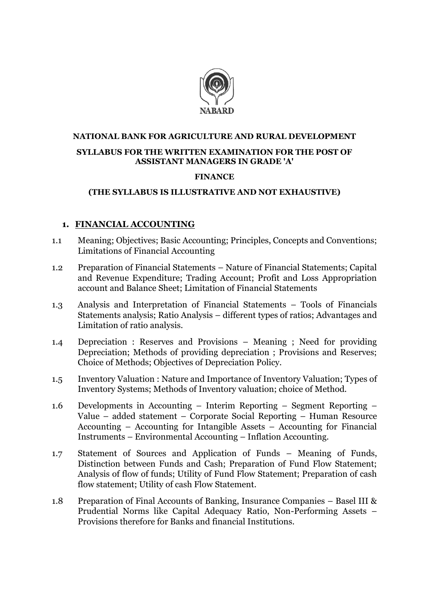

## **NATIONAL BANK FOR AGRICULTURE AND RURAL DEVELOPMENT SYLLABUS FOR THE WRITTEN EXAMINATION FOR THE POST OF ASSISTANT MANAGERS IN GRADE 'A'**

#### **FINANCE**

### **(THE SYLLABUS IS ILLUSTRATIVE AND NOT EXHAUSTIVE)**

### **1. FINANCIAL ACCOUNTING**

- 1.1 Meaning; Objectives; Basic Accounting; Principles, Concepts and Conventions; Limitations of Financial Accounting
- 1.2 Preparation of Financial Statements Nature of Financial Statements; Capital and Revenue Expenditure; Trading Account; Profit and Loss Appropriation account and Balance Sheet; Limitation of Financial Statements
- 1.3 Analysis and Interpretation of Financial Statements Tools of Financials Statements analysis; Ratio Analysis – different types of ratios; Advantages and Limitation of ratio analysis.
- 1.4 Depreciation : Reserves and Provisions Meaning ; Need for providing Depreciation; Methods of providing depreciation ; Provisions and Reserves; Choice of Methods; Objectives of Depreciation Policy.
- 1.5 Inventory Valuation : Nature and Importance of Inventory Valuation; Types of Inventory Systems; Methods of Inventory valuation; choice of Method.
- 1.6 Developments in Accounting Interim Reporting Segment Reporting Value – added statement – Corporate Social Reporting – Human Resource Accounting – Accounting for Intangible Assets – Accounting for Financial Instruments – Environmental Accounting – Inflation Accounting.
- 1.7 Statement of Sources and Application of Funds Meaning of Funds, Distinction between Funds and Cash; Preparation of Fund Flow Statement; Analysis of flow of funds; Utility of Fund Flow Statement; Preparation of cash flow statement; Utility of cash Flow Statement.
- 1.8 Preparation of Final Accounts of Banking, Insurance Companies Basel III & Prudential Norms like Capital Adequacy Ratio, Non-Performing Assets – Provisions therefore for Banks and financial Institutions.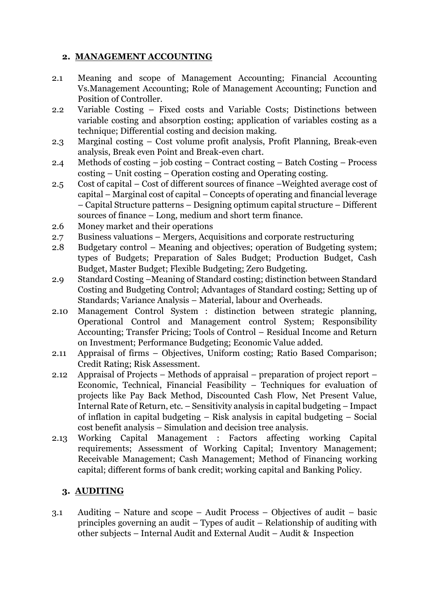### **2. MANAGEMENT ACCOUNTING**

- 2.1 Meaning and scope of Management Accounting; Financial Accounting Vs.Management Accounting; Role of Management Accounting; Function and Position of Controller.
- 2.2 Variable Costing Fixed costs and Variable Costs; Distinctions between variable costing and absorption costing; application of variables costing as a technique; Differential costing and decision making.
- 2.3 Marginal costing Cost volume profit analysis, Profit Planning, Break-even analysis, Break even Point and Break-even chart.
- 2.4 Methods of costing job costing Contract costing Batch Costing Process costing – Unit costing – Operation costing and Operating costing.
- 2.5 Cost of capital Cost of different sources of finance –Weighted average cost of capital – Marginal cost of capital – Concepts of operating and financial leverage – Capital Structure patterns – Designing optimum capital structure – Different sources of finance – Long, medium and short term finance.
- 2.6 Money market and their operations
- 2.7 Business valuations Mergers, Acquisitions and corporate restructuring
- 2.8 Budgetary control Meaning and objectives; operation of Budgeting system; types of Budgets; Preparation of Sales Budget; Production Budget, Cash Budget, Master Budget; Flexible Budgeting; Zero Budgeting.
- 2.9 Standard Costing –Meaning of Standard costing; distinction between Standard Costing and Budgeting Control; Advantages of Standard costing; Setting up of Standards; Variance Analysis – Material, labour and Overheads.
- 2.10 Management Control System : distinction between strategic planning, Operational Control and Management control System; Responsibility Accounting; Transfer Pricing; Tools of Control – Residual Income and Return on Investment; Performance Budgeting; Economic Value added.
- 2.11 Appraisal of firms Objectives, Uniform costing; Ratio Based Comparison; Credit Rating; Risk Assessment.
- 2.12 Appraisal of Projects Methods of appraisal preparation of project report Economic, Technical, Financial Feasibility – Techniques for evaluation of projects like Pay Back Method, Discounted Cash Flow, Net Present Value, Internal Rate of Return, etc. – Sensitivity analysis in capital budgeting – Impact of inflation in capital budgeting – Risk analysis in capital budgeting – Social cost benefit analysis – Simulation and decision tree analysis.
- 2.13 Working Capital Management : Factors affecting working Capital requirements; Assessment of Working Capital; Inventory Management; Receivable Management; Cash Management; Method of Financing working capital; different forms of bank credit; working capital and Banking Policy.

### **3. AUDITING**

3.1 Auditing – Nature and scope – Audit Process – Objectives of audit – basic principles governing an audit – Types of audit – Relationship of auditing with other subjects – Internal Audit and External Audit – Audit & Inspection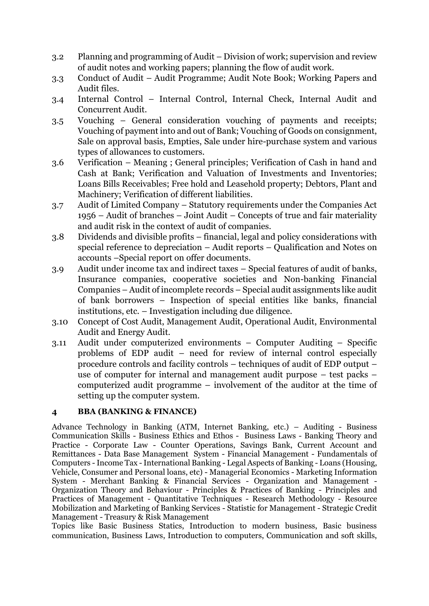- 3.2 Planning and programming of Audit Division of work; supervision and review of audit notes and working papers; planning the flow of audit work.
- 3.3 Conduct of Audit Audit Programme; Audit Note Book; Working Papers and Audit files.
- 3.4 Internal Control Internal Control, Internal Check, Internal Audit and Concurrent Audit.
- 3.5 Vouching General consideration vouching of payments and receipts; Vouching of payment into and out of Bank; Vouching of Goods on consignment, Sale on approval basis, Empties, Sale under hire-purchase system and various types of allowances to customers.
- 3.6 Verification Meaning ; General principles; Verification of Cash in hand and Cash at Bank; Verification and Valuation of Investments and Inventories; Loans Bills Receivables; Free hold and Leasehold property; Debtors, Plant and Machinery; Verification of different liabilities.
- 3.7 Audit of Limited Company Statutory requirements under the Companies Act 1956 – Audit of branches – Joint Audit – Concepts of true and fair materiality and audit risk in the context of audit of companies.
- 3.8 Dividends and divisible profits financial, legal and policy considerations with special reference to depreciation – Audit reports – Qualification and Notes on accounts –Special report on offer documents.
- 3.9 Audit under income tax and indirect taxes Special features of audit of banks, Insurance companies, cooperative societies and Non-banking Financial Companies – Audit of incomplete records – Special audit assignments like audit of bank borrowers – Inspection of special entities like banks, financial institutions, etc. – Investigation including due diligence.
- 3.10 Concept of Cost Audit, Management Audit, Operational Audit, Environmental Audit and Energy Audit.
- 3.11 Audit under computerized environments Computer Auditing Specific problems of EDP audit – need for review of internal control especially procedure controls and facility controls – techniques of audit of EDP output – use of computer for internal and management audit purpose – test packs – computerized audit programme – involvement of the auditor at the time of setting up the computer system.

#### **4 BBA (BANKING & FINANCE)**

Advance Technology in Banking (ATM, Internet Banking, etc.) – Auditing - Business Communication Skills - Business Ethics and Ethos - Business Laws - Banking Theory and Practice - Corporate Law - Counter Operations, Savings Bank, Current Account and Remittances - Data Base Management System - Financial Management - Fundamentals of Computers -Income Tax -International Banking - Legal Aspects of Banking - Loans (Housing, Vehicle, Consumer and Personal loans, etc) - Managerial Economics - Marketing Information System - Merchant Banking & Financial Services - Organization and Management - Organization Theory and Behaviour - Principles & Practices of Banking - Principles and Practices of Management - Quantitative Techniques - Research Methodology - Resource Mobilization and Marketing of Banking Services - Statistic for Management - Strategic Credit Management - Treasury & Risk Management

Topics like Basic Business Statics, Introduction to modern business, Basic business communication, Business Laws, Introduction to computers, Communication and soft skills,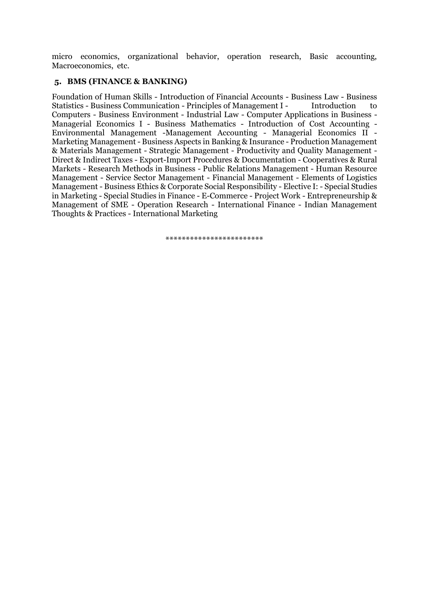micro economics, organizational behavior, operation research, Basic accounting, Macroeconomics, etc.

#### **5. BMS (FINANCE & BANKING)**

Foundation of Human Skills - Introduction of Financial Accounts - Business Law - Business Statistics - Business Communication - Principles of Management I - Introduction to Computers - Business Environment - Industrial Law - Computer Applications in Business - Managerial Economics I - Business Mathematics - Introduction of Cost Accounting - Environmental Management -Management Accounting - Managerial Economics II - Marketing Management - Business Aspects in Banking & Insurance - Production Management & Materials Management - Strategic Management - Productivity and Quality Management - Direct & Indirect Taxes - Export-Import Procedures & Documentation - Cooperatives & Rural Markets - Research Methods in Business - Public Relations Management - Human Resource Management - Service Sector Management - Financial Management - Elements of Logistics Management - Business Ethics & Corporate Social Responsibility - Elective I: - Special Studies in Marketing - Special Studies in Finance - E-Commerce - Project Work - Entrepreneurship & Management of SME - Operation Research - International Finance - Indian Management Thoughts & Practices - International Marketing

\*\*\*\*\*\*\*\*\*\*\*\*\*\*\*\*\*\*\*\*\*\*\*\*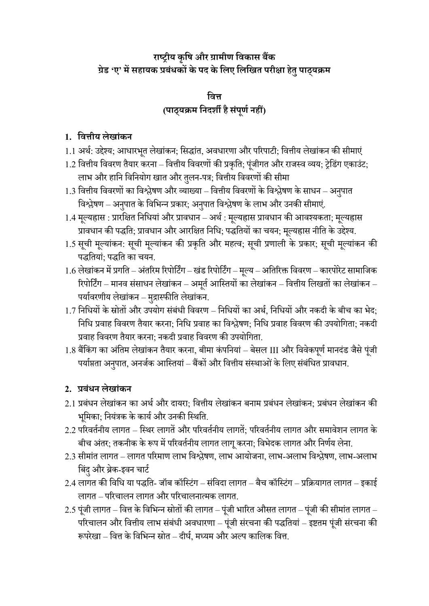# **राष्ट्रीय कृषि और ग्रामीण षिकास बैंक ग्रेड 'ए' मेंसहायक प्रबंधकों केपद केषिए षिषित परीक्षा हेतुपाठ्यक्रम**

# **षित्त (पाठ्यक्रम षिदर्शी हैसंपूणणिहीं)**

## **1. षित्तीय िेिांकि**

- 1.1 अर्थ: उद्देश्य; आधारभूत लेखांकन; सिद्धांत, अवधारणा और परिपाटी; वित्तीय लेखांकन की सीमाएं
- 1.2 वित्तीय विवरण तैयार करना वित्तीय विवरणों की प्रकृति; पूंजीगत और राजस्व व्यय; ट्रेडिंग एकाउंट; लाभ और हानि विनियोग खात और तुलन-पत्र; वित्तीय विवरणों की सीमा
- 1.3 वित्तीय विवरणों का विश्लेषण और व्याख्या वित्तीय विवरणों के विश्लेषण के साधन अनुपात विश्लेषण – अनुपात के विभिन्न प्रकार; अनुपात विश्लेषण के लाभ और उनकी सीमाएं.
- 1.4 मूल्यह्रास : प्रारक्षित निधियां और प्रावधान अर्थ : मूल्यह्रास प्रावधान की आवश्यकता; मूल्यह्रास प्रावधान की पद्धति; प्रावधान और आरक्षित निधि; पद्धतियों का चयन; मूल्यह्रास नीति के उद्देश्य.
- 1.5 सूची मूल्यांकन: सूची मूल्यांकन की प्रकृति और महत्व; सूची प्रणाली के प्रकार; सूची मूल्यांकन की पद्धतियां: पद्धति का चयन.
- 1.6 लेखांकन में प्रगति अंतरिम रिपोर्टिंग खंड रिपोर्टिंग मूल्य अतिरिक्त विवरण कारपोरेट सामाजिक रिपोर्टिंग – मानव संसाधन लेखांकन – अमूर्त आस्तियों का लेखांकन – वित्तीय लिखतों का लेखांकन – पर्यावरणीय लेखांकन – मुद्रास्फीति लेखांकन.
- $1.7$  निधियों के स्रोतों और उपयोग संबंधी विवरण निधियों का अर्थ, निधियों और नकदी के बीच का भेद; निधि प्रवाह विवरण तैयार करना; निधि प्रवाह का विश्लेषण; निधि प्रवाह विवरण की उपयोगिता; नकदी प्रवाह विवरण तैयार करना: नकदी प्रवाह विवरण की उपयोगिता.
- 1.8 बैंकिंग का अंतिम लेखांकन तैयार करना, बीमा कंपनियां बेसल III और विवेकपूर्ण मानदंड जैसे पूंजी पर्याप्तता अनुपात, अनर्जक आस्तियां – बैंकों और वित्तीय संस्थाओं के लिए संबंधित प्रावधान.

## **2. प्रबंधि िेिांकि**

- 2.1 प्रबंधन लेखांकन का अर्थ और दायरा; वित्तीय लेखांकन बनाम प्रबंधन लेखांकन; प्रबंधन लेखांकन की भूमिका; नियंत्रक के कार्य और उनकी स्थिति.
- 2.2 परिवर्तनीय लागत स्थिर लागतें और परिवर्तनीय लागतें; परिवर्तनीय लागत और समावेशन लागत के बीच अंतर; तकनीक के रूप में परिवर्तनीय लागत लागू करना; विभेदक लागत और निर्णय लेना.
- 2.3 सीमांत लागत लागत परिमाण लाभ विश्लेषण, लाभ आयोजना, लाभ-अलाभ विश्लेषण, लाभ-अलाभ बिंदु और ब्रेक-इवन चार्ट
- 2.4 लागत की विधि या पद्धति- जॉब कॉस्टिंग संविदा लागत बैच कॉस्टिंग प्रक्रियागत लागत इकाई लागत –पररचालन लागत और पररचालनात्मक लागत.
- $2.5$  पूंजी लागत वित्त के विभिन्न स्रोतों की लागत पूंजी भारित औसत लागत पूंजी की सीमांत लागत परिचालन और वित्तीय लाभ संबंधी अवधारणा – पूंजी संरचना की पद्धतियां – इष्टतम पूंजी संरचना की रूपरेखा – वित्त के विभिन्न स्रोत – दीर्घ. मध्यम और अल्प कालिक वित्त.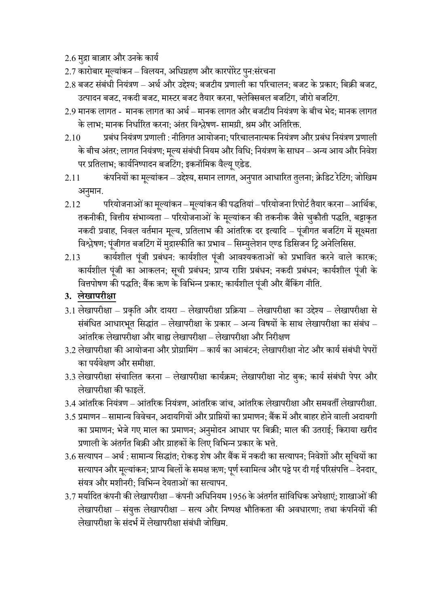2.6 मुद्रा बाज़ार और उनके कार्य

- 2.7 कारोबार मूल्यांकन विलयन, अधिग्रहण और कारपोरेट पुन:संरचना
- 2.8 बजट संबंधी नियंत्रण अर्थ और उद्देश्य; बजटीय प्रणाली का परिचालन; बजट के प्रकार; बिक्री बजट, उत्पादन बजट, नकदी बजट, मास्टर बजट तैयार करना, फ्लेक्सिबल बजटिंग, जीरो बजटिंग.
- $2.9$  मानक लागत मानक लागत का अर्थ मानक लागत और बजटीय नियंत्रण के बीच भेद; मानक लागत के लाभ: मानक निर्धारित करना: अंतर विश्लेषण- सामग्री, श्रम और अतिरिक्त.
- 2.10 प्रबांध सनयांत्रण प्रणाली : नीसतगत आयोजना; पररचालनात्मक सनयांत्रण और प्रबांध सनयांत्रण प्रणाली के बीच अंतर; लागत नियंत्रण; मूल्य संबंधी नियम और विधि; नियंत्रण के साधन – अन्य आय और निवेश पर प्रतिलाभ; कार्यनिष्पादन बजटिंग; इकनॉमिक वैल्यू एडेड.
- 2.11 कंपनियों का मूल्यांकन उद्देश्य, समान लागत, अनुपात आधारित तुलना; क्रेडिट रेटिंग; जोखिम अनुमान.
- $2.12$  परियोजनाओं का मूल्यांकन मूल्यांकन की पद्धतियां परियोजना रिपोर्ट तैयार करना आर्थिक, तकनीकी, वित्तीय संभाव्यता – परियोजनाओं के मूल्यांकन की तकनीक जैसे चुकौती पद्धति, बट्टाकृत नकदी प्रवाह, निवल वर्तमान मूल्य, प्रतिलाभ की आंतरिक दर इत्यादि – पूंजीगत बजटिंग में सूक्ष्मता विश्लेषण; पूंजीगत बजटिंग में मुद्रास्फीति का प्रभाव – सिम्युलेशन एण्ड डिसिजन ट्रि अनेलिसिस.
- 2.13 कार्यशील पूंजी प्रबंधन: कार्यशील पूंजी आवश्यकताओं को प्रभावित करने वाले कारक; कार्यशील पूंजी का आकलन; सूची प्रबंधन; प्राप्य राशि प्रबंधन; नकदी प्रबंधन; कार्यशील पूंजी के वित्तपोषण की पद्धति; बैंक ऋण के विभिन्न प्रकार; कार्यशील पूंजी और बैंकिंग नीति.
- **3. िेिापरीक्षा**
- 3.1 लेखापरीक्षा प्रकृति और दायरा लेखापरीक्षा प्रक्रिया लेखापरीक्षा का उद्देश्य लेखापरीक्षा से संबंधित आधारभृत सिद्धांत – लेखापरीक्षा के प्रकार – अन्य विषयों के साथ लेखापरीक्षा का संबंध – आंतरिक लेखापरीक्षा और बाह्य लेखापरीक्षा – लेखापरीक्षा और निरीक्षण
- 3.2 लेखापरीक्षा की आयोजना और प्रोग्रामिंग कार्य का आबंटन: लेखापरीक्षा नोट और कार्य संबंधी पेपरों का पर्यवेक्षण और समीक्षा.
- 3.3 लेखापरीक्षा संचालित करना लेखापरीक्षा कार्यक्रम; लेखापरीक्षा नोट बुक; कार्य संबंधी पेपर और लेखापरीक्षा की फाइलें.
- 3.4 आंतरिक नियंत्रण आंतरिक नियंत्रण, आंतरिक जांच, आंतरिक लेखापरीक्षा और समवर्ती लेखापरीक्षा.
- 3.5 प्रमाणन– िामान्य सववेचन, अदायसगयों और प्रासप्तयों का प्रमाणन; बैंक मेंऔर बाहरहोनेवाली अदायगी का प्रमाणन; भेजे गए माल का प्रमाणन; अनुमोदन आधार पर बिक्री; माल की उतराई; किराया खरीद प्रणाली के अंतर्गत बिक्री और ग्राहकों के लिए विभिन्न प्रकार के भत्ते.
- $3.6$  सत्यापन अर्थ : सामान्य सिद्धांत; रोकड़ शेष और बैंक में नकदी का सत्यापन; निवेशों और सूचियों का सत्यापन और मुल्यांकन; प्राप्य बिलों के समक्ष ऋण; पूर्ण स्वामित्व और पट्टे पर दी गई परिसंपत्ति – देनदार, संयत्र और मशीनरी; विभिन्न देयताओं का सत्यापन.
- 3.7 मर्यादित कंपनी की लेखापरीक्षा कंपनी अधिनियम 1956 के अंतर्गत सांविधिक अपेक्षाएं; शाखाओं की लेखापरीक्षा – संयुक्त लेखापरीक्षा – सत्य और निष्पक्ष भौतिकता की अवधारणा; तथा कंपनियों की लेखापरीक्षा के संदर्भ में लेखापरीक्षा संबंधी जोखिम.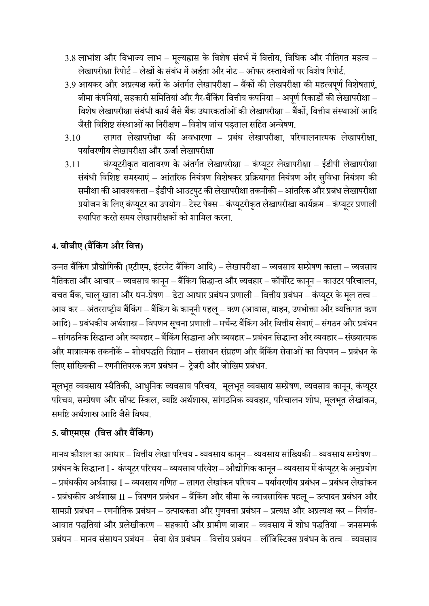- $3.8$  लाभांश और विभाज्य लाभ मुल्यह्रास के विशेष संदर्भ में वित्तीय, विधिक और नीतिगत महत्व लेखापरीक्षा रिपोर्ट – लेखों के संबंध में अर्हता और नोट – ऑफर दस्तावेजों पर विशेष रिपोर्ट.
- 3.9 आयकर और अप्रत्यक्ष करों के अंतर्गत लेखापरीक्षा बैंकों की लेखपरीक्षा की महत्वपूर्ण विशेषताएं, बीमा कंपनियां, सहकारी समितियां और गैर-बैंकिंग वित्तीय कंपनियां – अपर्ण रिकार्डों की लेखापरीक्षा – विशेष लेखापरीक्षा संबंधी कार्य जैसे बैंक उधारकर्ताओं की लेखापरीक्षा – बैंकों, वित्तीय संस्थाओं आदि जैसी विशिष्ट संस्थाओं का निरीक्षण – विशेष जांच पड़ताल सहित अन्वेषण.
- 3.10 लागत लेखापरीिा की अवधारणा प्रबांध लेखापरीिा, पररचालनात्मक लेखापरीिा, पर्यावरणीय लेखापरीक्षा और ऊर्जा लेखापरीक्षा
- 3.11 कंप्यूटरीकृत वातावरण के अंतर्गत लेखापरीक्षा कंप्यूटर लेखापरीक्षा ईडीपी लेखापरीक्षा संबंधी विशिष्ट समस्याएं – आंतरिक नियंत्रण विशेषकर प्रक्रियागत नियंत्रण और सुविधा नियंत्रण की समीक्षा की आवश्यकता – ईडीपी आउटपुट की लेखापरीक्षा तकनीकी – आंतरिक और प्रबंध लेखापरीक्षा प्रयोजन के लिए कंप्यूटर का उपयोग – टेस्ट पेक्स – कंप्यूटरीकृत लेखापरीखा कार्यक्रम – कंप्यूटर प्रणाली स्थापित करते समय लेखापरीक्षकों को शामिल करना.

# **4. बीबीए (बैंषकंग और षित्त)**

उन्नत बैंकिंग प्रौद्योगिकी (एटीएम, इंटरनेट बैंकिंग आदि) – लेखापरीक्षा – व्यवसाय सम्प्रेषण काला – व्यवसाय नैतिकता और आचार – व्यवसाय कानून – बैंकिंग सिद्धान्त और व्यवहार – कॉर्पोरेट कानून – काउंटर परिचालन, बचत बैंक, चालू खाता और धन-प्रेषण – डेटा आधार प्रबंधन प्रणाली – वित्तीय प्रबंधन – कंप्यूटर के मूल तत्त्व – आय कर – अंतरराष्ट्रीय बैंकिंग – बैंकिंग के कानूनी पहलू – ऋण (आवास, वाहन, उपभोक्ता और व्यक्तिगत ऋण आदि) – प्रबंधकीय अर्थशास्त्र – विपणन सूचना प्रणाली – मर्चेन्ट बैंकिंग और वित्तीय सेवाएं – संगठन और प्रबंधन – सांगठनिक सिद्धान्त और व्यवहार – बैंकिंग सिद्धान्त और व्यवहार – प्रबंधन सिद्धान्त और व्यवहार – संख्यात्मक और मात्रात्मक तकनीकें – शोधपद्धति विज्ञान – संसाधन संग्रहण और बैंकिंग सेवाओं का विपणन – प्रबंधन के लिए सांख्यिकी – रणनीतिपरक ऋण प्रबंधन – ट्रेजरी और जोखिम प्रबंधन.

मूलभूत व्यवसाय स्थैतिकी, आधुनिक व्यवसाय परिचय, मूलभूत व्यवसाय सम्प्रेषण, व्यवसाय कानून, कंप्यूटर परिचय, सम्प्रेषण और सॉफ्ट स्किल, व्यष्टि अर्थशास्त्र, सांगठनिक व्यवहार, परिचालन शोध, मूलभूत लेखांकन, समष्टि अर्थशास्त्र आदि जैसे विषय.

## **5. बीएमएस (षित्त और बैंषकंग)**

मानव कौशल का आधार – वित्तीय लेखा परिचय - व्यवसाय कानून – व्यवसाय सांख्यिकी – व्यवसाय सम्प्रेषण – प्रबंधन के सिद्धान्त I - कंप्यूटर परिचय – व्यवसाय परिवेश – औद्योगिक कानून – व्यवसाय में कंप्यूटर के अनुप्रयोग – प्रबांधकीय अर्थशास्त्र I – व्यविाय गसणत – लागत लेखाांकन पररचय – पयाथवरणीय प्रबांधन – प्रबांधन लेखाांकन - प्रबंधकीय अर्थशास्त्र II – विपणन प्रबंधन – बैंकिंग और बीमा के व्यावसायिक पहलू – उत्पादन प्रबंधन और सामग्री प्रबंधन – रणनीतिक प्रबंधन – उत्पादकता और गुणवत्ता प्रबंधन – प्रत्यक्ष और अप्रत्यक्ष कर – निर्यात-आयात पद्धतियां और प्रलेखीकरण – सहकारी और ग्रामीण बाजार – व्यवसाय में शोध पद्धतियां – जनसम्पर्क प्रबंधन – मानव संसाधन प्रबंधन – सेवा क्षेत्र प्रबंधन – वित्तीय प्रबंधन – लॉजिस्टिक्स प्रबंधन के तत्व – व्यवसाय